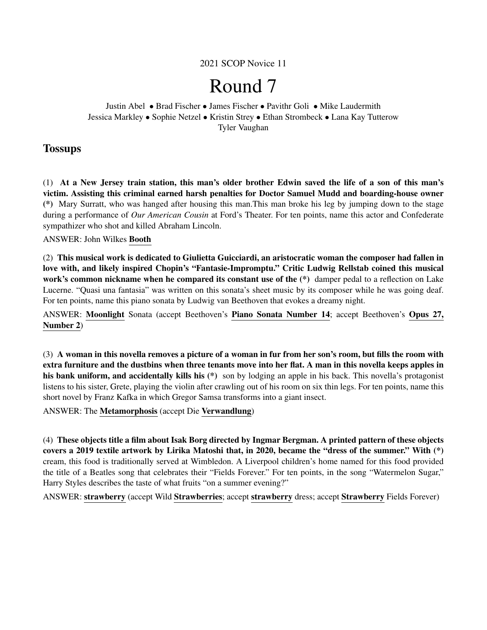2021 SCOP Novice 11

# Round 7

Justin Abel • Brad Fischer • James Fischer • Pavithr Goli • Mike Laudermith Jessica Markley • Sophie Netzel • Kristin Strey • Ethan Strombeck • Lana Kay Tutterow Tyler Vaughan

# **Tossups**

(1) At a New Jersey train station, this man's older brother Edwin saved the life of a son of this man's victim. Assisting this criminal earned harsh penalties for Doctor Samuel Mudd and boarding-house owner (\*) Mary Surratt, who was hanged after housing this man.This man broke his leg by jumping down to the stage during a performance of *Our American Cousin* at Ford's Theater. For ten points, name this actor and Confederate sympathizer who shot and killed Abraham Lincoln.

ANSWER: John Wilkes Booth

(2) This musical work is dedicated to Giulietta Guicciardi, an aristocratic woman the composer had fallen in love with, and likely inspired Chopin's "Fantasie-Impromptu." Critic Ludwig Rellstab coined this musical work's common nickname when he compared its constant use of the  $(*)$  damper pedal to a reflection on Lake Lucerne. "Quasi una fantasia" was written on this sonata's sheet music by its composer while he was going deaf. For ten points, name this piano sonata by Ludwig van Beethoven that evokes a dreamy night.

ANSWER: Moonlight Sonata (accept Beethoven's Piano Sonata Number 14; accept Beethoven's Opus 27, Number 2)

(3) A woman in this novella removes a picture of a woman in fur from her son's room, but fills the room with extra furniture and the dustbins when three tenants move into her flat. A man in this novella keeps apples in his bank uniform, and accidentally kills his (\*) son by lodging an apple in his back. This novella's protagonist listens to his sister, Grete, playing the violin after crawling out of his room on six thin legs. For ten points, name this short novel by Franz Kafka in which Gregor Samsa transforms into a giant insect.

ANSWER: The Metamorphosis (accept Die Verwandlung)

(4) These objects title a film about Isak Borg directed by Ingmar Bergman. A printed pattern of these objects covers a 2019 textile artwork by Lirika Matoshi that, in 2020, became the "dress of the summer." With (\*) cream, this food is traditionally served at Wimbledon. A Liverpool children's home named for this food provided the title of a Beatles song that celebrates their "Fields Forever." For ten points, in the song "Watermelon Sugar," Harry Styles describes the taste of what fruits "on a summer evening?"

ANSWER: strawberry (accept Wild Strawberries; accept strawberry dress; accept Strawberry Fields Forever)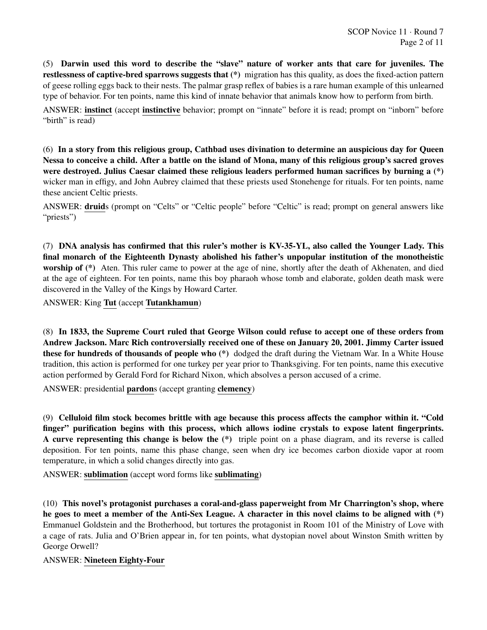(5) Darwin used this word to describe the "slave" nature of worker ants that care for juveniles. The restlessness of captive-bred sparrows suggests that (\*) migration has this quality, as does the fixed-action pattern of geese rolling eggs back to their nests. The palmar grasp reflex of babies is a rare human example of this unlearned type of behavior. For ten points, name this kind of innate behavior that animals know how to perform from birth.

ANSWER: instinct (accept instinctive behavior; prompt on "innate" before it is read; prompt on "inborn" before "birth" is read)

(6) In a story from this religious group, Cathbad uses divination to determine an auspicious day for Queen Nessa to conceive a child. After a battle on the island of Mona, many of this religious group's sacred groves were destroyed. Julius Caesar claimed these religious leaders performed human sacrifices by burning a (\*) wicker man in effigy, and John Aubrey claimed that these priests used Stonehenge for rituals. For ten points, name these ancient Celtic priests.

ANSWER: druids (prompt on "Celts" or "Celtic people" before "Celtic" is read; prompt on general answers like "priests")

(7) DNA analysis has confirmed that this ruler's mother is KV-35-YL, also called the Younger Lady. This final monarch of the Eighteenth Dynasty abolished his father's unpopular institution of the monotheistic worship of (\*) Aten. This ruler came to power at the age of nine, shortly after the death of Akhenaten, and died at the age of eighteen. For ten points, name this boy pharaoh whose tomb and elaborate, golden death mask were discovered in the Valley of the Kings by Howard Carter.

ANSWER: King Tut (accept Tutankhamun)

(8) In 1833, the Supreme Court ruled that George Wilson could refuse to accept one of these orders from Andrew Jackson. Marc Rich controversially received one of these on January 20, 2001. Jimmy Carter issued these for hundreds of thousands of people who (\*) dodged the draft during the Vietnam War. In a White House tradition, this action is performed for one turkey per year prior to Thanksgiving. For ten points, name this executive action performed by Gerald Ford for Richard Nixon, which absolves a person accused of a crime.

ANSWER: presidential pardons (accept granting clemency)

(9) Celluloid film stock becomes brittle with age because this process affects the camphor within it. "Cold finger" purification begins with this process, which allows iodine crystals to expose latent fingerprints. A curve representing this change is below the (\*) triple point on a phase diagram, and its reverse is called deposition. For ten points, name this phase change, seen when dry ice becomes carbon dioxide vapor at room temperature, in which a solid changes directly into gas.

ANSWER: sublimation (accept word forms like sublimating)

(10) This novel's protagonist purchases a coral-and-glass paperweight from Mr Charrington's shop, where he goes to meet a member of the Anti-Sex League. A character in this novel claims to be aligned with (\*) Emmanuel Goldstein and the Brotherhood, but tortures the protagonist in Room 101 of the Ministry of Love with a cage of rats. Julia and O'Brien appear in, for ten points, what dystopian novel about Winston Smith written by George Orwell?

ANSWER: Nineteen Eighty-Four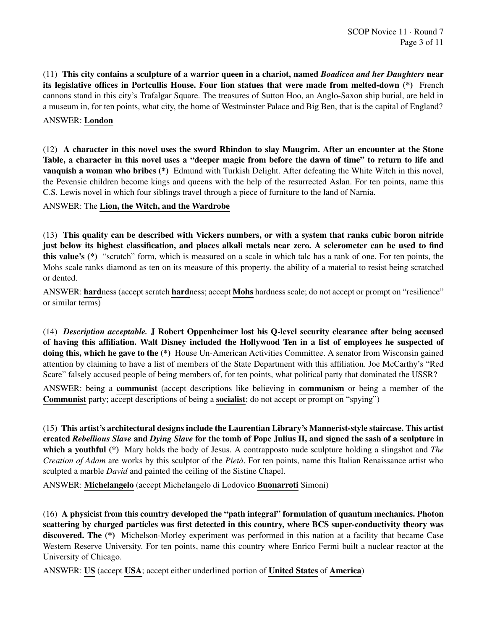(11) This city contains a sculpture of a warrior queen in a chariot, named *Boadicea and her Daughters* near its legislative offices in Portcullis House. Four lion statues that were made from melted-down (\*) French cannons stand in this city's Trafalgar Square. The treasures of Sutton Hoo, an Anglo-Saxon ship burial, are held in a museum in, for ten points, what city, the home of Westminster Palace and Big Ben, that is the capital of England?

ANSWER: London

(12) A character in this novel uses the sword Rhindon to slay Maugrim. After an encounter at the Stone Table, a character in this novel uses a "deeper magic from before the dawn of time" to return to life and vanquish a woman who bribes (\*) Edmund with Turkish Delight. After defeating the White Witch in this novel, the Pevensie children become kings and queens with the help of the resurrected Aslan. For ten points, name this C.S. Lewis novel in which four siblings travel through a piece of furniture to the land of Narnia.

ANSWER: The Lion, the Witch, and the Wardrobe

(13) This quality can be described with Vickers numbers, or with a system that ranks cubic boron nitride just below its highest classification, and places alkali metals near zero. A sclerometer can be used to find this value's (\*) "scratch" form, which is measured on a scale in which talc has a rank of one. For ten points, the Mohs scale ranks diamond as ten on its measure of this property. the ability of a material to resist being scratched or dented.

ANSWER: hardness (accept scratch hardness; accept Mohs hardness scale; do not accept or prompt on "resilience" or similar terms)

(14) *Description acceptable.* J Robert Oppenheimer lost his Q-level security clearance after being accused of having this affiliation. Walt Disney included the Hollywood Ten in a list of employees he suspected of doing this, which he gave to the (\*) House Un-American Activities Committee. A senator from Wisconsin gained attention by claiming to have a list of members of the State Department with this affiliation. Joe McCarthy's "Red Scare" falsely accused people of being members of, for ten points, what political party that dominated the USSR?

ANSWER: being a communist (accept descriptions like believing in communism or being a member of the Communist party; accept descriptions of being a socialist; do not accept or prompt on "spying")

(15) This artist's architectural designs include the Laurentian Library's Mannerist-style staircase. This artist created *Rebellious Slave* and *Dying Slave* for the tomb of Pope Julius II, and signed the sash of a sculpture in which a youthful (\*) Mary holds the body of Jesus. A contrapposto nude sculpture holding a slingshot and *The Creation of Adam* are works by this sculptor of the *Pieta`*. For ten points, name this Italian Renaissance artist who sculpted a marble *David* and painted the ceiling of the Sistine Chapel.

ANSWER: Michelangelo (accept Michelangelo di Lodovico Buonarroti Simoni)

(16) A physicist from this country developed the "path integral" formulation of quantum mechanics. Photon scattering by charged particles was first detected in this country, where BCS super-conductivity theory was discovered. The (\*) Michelson-Morley experiment was performed in this nation at a facility that became Case Western Reserve University. For ten points, name this country where Enrico Fermi built a nuclear reactor at the University of Chicago.

ANSWER: US (accept USA; accept either underlined portion of United States of America)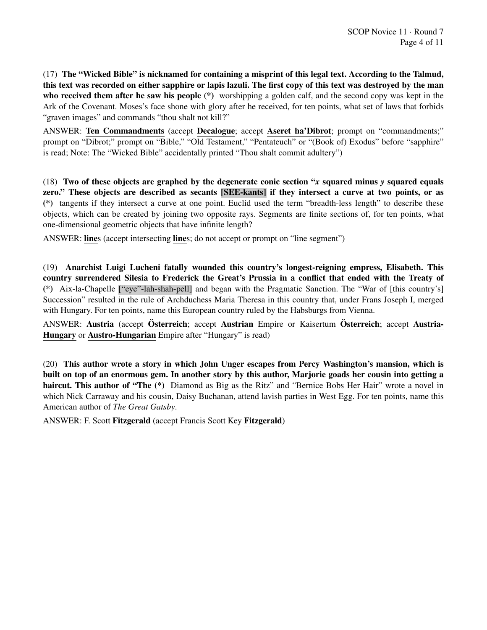(17) The "Wicked Bible" is nicknamed for containing a misprint of this legal text. According to the Talmud, this text was recorded on either sapphire or lapis lazuli. The first copy of this text was destroyed by the man who received them after he saw his people (\*) worshipping a golden calf, and the second copy was kept in the Ark of the Covenant. Moses's face shone with glory after he received, for ten points, what set of laws that forbids "graven images" and commands "thou shalt not kill?"

ANSWER: Ten Commandments (accept Decalogue; accept Aseret ha'Dibrot; prompt on "commandments;" prompt on "Dibrot;" prompt on "Bible," "Old Testament," "Pentateuch" or "(Book of) Exodus" before "sapphire" is read; Note: The "Wicked Bible" accidentally printed "Thou shalt commit adultery")

(18) Two of these objects are graphed by the degenerate conic section "*x* squared minus *y* squared equals zero." These objects are described as secants [SEE-kants] if they intersect a curve at two points, or as (\*) tangents if they intersect a curve at one point. Euclid used the term "breadth-less length" to describe these objects, which can be created by joining two opposite rays. Segments are finite sections of, for ten points, what one-dimensional geometric objects that have infinite length?

ANSWER: lines (accept intersecting lines; do not accept or prompt on "line segment")

(19) Anarchist Luigi Lucheni fatally wounded this country's longest-reigning empress, Elisabeth. This country surrendered Silesia to Frederick the Great's Prussia in a conflict that ended with the Treaty of (\*) Aix-la-Chapelle ["eye"-lah-shah-pell] and began with the Pragmatic Sanction. The "War of [this country's] Succession" resulted in the rule of Archduchess Maria Theresa in this country that, under Frans Joseph I, merged with Hungary. For ten points, name this European country ruled by the Habsburgs from Vienna.

ANSWER: Austria (accept Österreich; accept Austrian Empire or Kaisertum Österreich; accept Austria-Hungary or Austro-Hungarian Empire after "Hungary" is read)

(20) This author wrote a story in which John Unger escapes from Percy Washington's mansion, which is built on top of an enormous gem. In another story by this author, Marjorie goads her cousin into getting a haircut. This author of "The (\*) Diamond as Big as the Ritz" and "Bernice Bobs Her Hair" wrote a novel in which Nick Carraway and his cousin, Daisy Buchanan, attend lavish parties in West Egg. For ten points, name this American author of *The Great Gatsby*.

ANSWER: F. Scott Fitzgerald (accept Francis Scott Key Fitzgerald)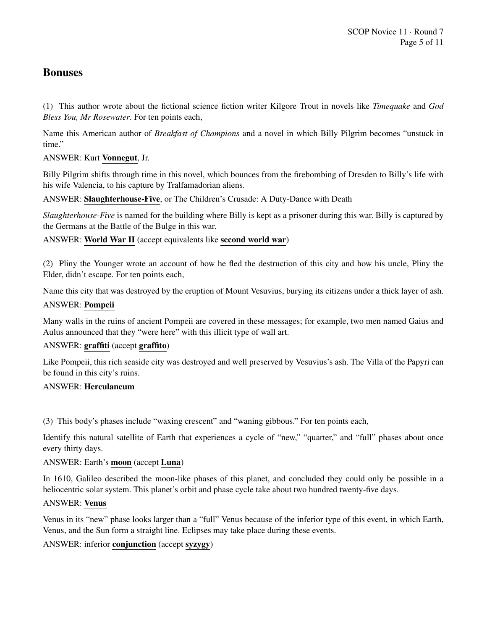# Bonuses

(1) This author wrote about the fictional science fiction writer Kilgore Trout in novels like *Timequake* and *God Bless You, Mr Rosewater*. For ten points each,

Name this American author of *Breakfast of Champions* and a novel in which Billy Pilgrim becomes "unstuck in time."

ANSWER: Kurt Vonnegut, Jr.

Billy Pilgrim shifts through time in this novel, which bounces from the firebombing of Dresden to Billy's life with his wife Valencia, to his capture by Tralfamadorian aliens.

ANSWER: Slaughterhouse-Five, or The Children's Crusade: A Duty-Dance with Death

*Slaughterhouse-Five* is named for the building where Billy is kept as a prisoner during this war. Billy is captured by the Germans at the Battle of the Bulge in this war.

ANSWER: World War II (accept equivalents like second world war)

(2) Pliny the Younger wrote an account of how he fled the destruction of this city and how his uncle, Pliny the Elder, didn't escape. For ten points each,

Name this city that was destroyed by the eruption of Mount Vesuvius, burying its citizens under a thick layer of ash.

# ANSWER: Pompeii

Many walls in the ruins of ancient Pompeii are covered in these messages; for example, two men named Gaius and Aulus announced that they "were here" with this illicit type of wall art.

# ANSWER: graffiti (accept graffito)

Like Pompeii, this rich seaside city was destroyed and well preserved by Vesuvius's ash. The Villa of the Papyri can be found in this city's ruins.

### ANSWER: Herculaneum

(3) This body's phases include "waxing crescent" and "waning gibbous." For ten points each,

Identify this natural satellite of Earth that experiences a cycle of "new," "quarter," and "full" phases about once every thirty days.

# ANSWER: Earth's moon (accept Luna)

In 1610, Galileo described the moon-like phases of this planet, and concluded they could only be possible in a heliocentric solar system. This planet's orbit and phase cycle take about two hundred twenty-five days.

### ANSWER: Venus

Venus in its "new" phase looks larger than a "full" Venus because of the inferior type of this event, in which Earth, Venus, and the Sun form a straight line. Eclipses may take place during these events.

ANSWER: inferior conjunction (accept syzygy)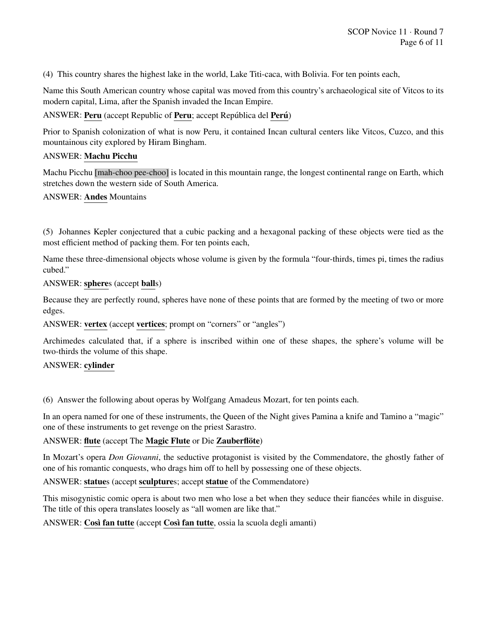(4) This country shares the highest lake in the world, Lake Titi-caca, with Bolivia. For ten points each,

Name this South American country whose capital was moved from this country's archaeological site of Vitcos to its modern capital, Lima, after the Spanish invaded the Incan Empire.

# ANSWER: Peru (accept Republic of Peru; accept República del Perú)

Prior to Spanish colonization of what is now Peru, it contained Incan cultural centers like Vitcos, Cuzco, and this mountainous city explored by Hiram Bingham.

# ANSWER: Machu Picchu

Machu Picchu [mah-choo pee-choo] is located in this mountain range, the longest continental range on Earth, which stretches down the western side of South America.

### ANSWER: Andes Mountains

(5) Johannes Kepler conjectured that a cubic packing and a hexagonal packing of these objects were tied as the most efficient method of packing them. For ten points each,

Name these three-dimensional objects whose volume is given by the formula "four-thirds, times pi, times the radius cubed."

### ANSWER: spheres (accept balls)

Because they are perfectly round, spheres have none of these points that are formed by the meeting of two or more edges.

### ANSWER: vertex (accept vertices; prompt on "corners" or "angles")

Archimedes calculated that, if a sphere is inscribed within one of these shapes, the sphere's volume will be two-thirds the volume of this shape.

### ANSWER: cylinder

(6) Answer the following about operas by Wolfgang Amadeus Mozart, for ten points each.

In an opera named for one of these instruments, the Queen of the Night gives Pamina a knife and Tamino a "magic" one of these instruments to get revenge on the priest Sarastro.

### ANSWER: flute (accept The Magic Flute or Die Zauberflöte)

In Mozart's opera *Don Giovanni*, the seductive protagonist is visited by the Commendatore, the ghostly father of one of his romantic conquests, who drags him off to hell by possessing one of these objects.

# ANSWER: statues (accept sculptures; accept statue of the Commendatore)

This misogynistic comic opera is about two men who lose a bet when they seduce their fiancées while in disguise. The title of this opera translates loosely as "all women are like that."

ANSWER: Così fan tutte (accept Così fan tutte, ossia la scuola degli amanti)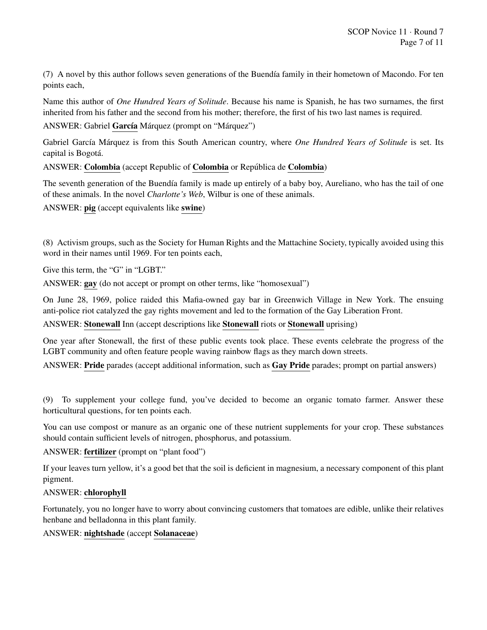(7) A novel by this author follows seven generations of the Buendía family in their hometown of Macondo. For ten points each,

Name this author of *One Hundred Years of Solitude*. Because his name is Spanish, he has two surnames, the first inherited from his father and the second from his mother; therefore, the first of his two last names is required.

ANSWER: Gabriel García Márquez (prompt on "Márquez")

Gabriel García Márquez is from this South American country, where *One Hundred Years of Solitude* is set. Its capital is Bogotá.

ANSWER: Colombia (accept Republic of Colombia or República de Colombia)

The seventh generation of the Buendía family is made up entirely of a baby boy, Aureliano, who has the tail of one of these animals. In the novel *Charlotte's Web*, Wilbur is one of these animals.

ANSWER: pig (accept equivalents like swine)

(8) Activism groups, such as the Society for Human Rights and the Mattachine Society, typically avoided using this word in their names until 1969. For ten points each,

Give this term, the "G" in "LGBT."

ANSWER: gay (do not accept or prompt on other terms, like "homosexual")

On June 28, 1969, police raided this Mafia-owned gay bar in Greenwich Village in New York. The ensuing anti-police riot catalyzed the gay rights movement and led to the formation of the Gay Liberation Front.

ANSWER: Stonewall Inn (accept descriptions like Stonewall riots or Stonewall uprising)

One year after Stonewall, the first of these public events took place. These events celebrate the progress of the LGBT community and often feature people waving rainbow flags as they march down streets.

ANSWER: Pride parades (accept additional information, such as Gay Pride parades; prompt on partial answers)

(9) To supplement your college fund, you've decided to become an organic tomato farmer. Answer these horticultural questions, for ten points each.

You can use compost or manure as an organic one of these nutrient supplements for your crop. These substances should contain sufficient levels of nitrogen, phosphorus, and potassium.

ANSWER: fertilizer (prompt on "plant food")

If your leaves turn yellow, it's a good bet that the soil is deficient in magnesium, a necessary component of this plant pigment.

### ANSWER: chlorophyll

Fortunately, you no longer have to worry about convincing customers that tomatoes are edible, unlike their relatives henbane and belladonna in this plant family.

ANSWER: nightshade (accept Solanaceae)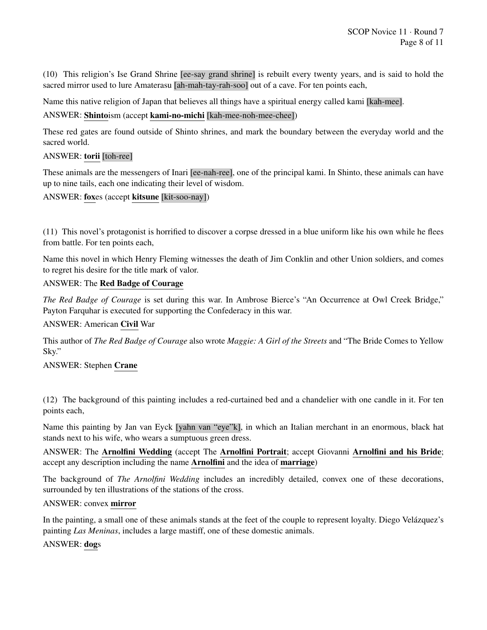(10) This religion's Ise Grand Shrine [ee-say grand shrine] is rebuilt every twenty years, and is said to hold the sacred mirror used to lure Amaterasu [ah-mah-tay-rah-soo] out of a cave. For ten points each,

Name this native religion of Japan that believes all things have a spiritual energy called kami [kah-mee].

# ANSWER: Shintoism (accept kami-no-michi [kah-mee-noh-mee-chee])

These red gates are found outside of Shinto shrines, and mark the boundary between the everyday world and the sacred world.

# ANSWER: torii [toh-ree]

These animals are the messengers of Inari [ee-nah-ree], one of the principal kami. In Shinto, these animals can have up to nine tails, each one indicating their level of wisdom.

# ANSWER: foxes (accept kitsune [kit-soo-nay])

(11) This novel's protagonist is horrified to discover a corpse dressed in a blue uniform like his own while he flees from battle. For ten points each,

Name this novel in which Henry Fleming witnesses the death of Jim Conklin and other Union soldiers, and comes to regret his desire for the title mark of valor.

# ANSWER: The Red Badge of Courage

*The Red Badge of Courage* is set during this war. In Ambrose Bierce's "An Occurrence at Owl Creek Bridge," Payton Farquhar is executed for supporting the Confederacy in this war.

# ANSWER: American Civil War

This author of *The Red Badge of Courage* also wrote *Maggie: A Girl of the Streets* and "The Bride Comes to Yellow Sky."

### ANSWER: Stephen Crane

(12) The background of this painting includes a red-curtained bed and a chandelier with one candle in it. For ten points each,

Name this painting by Jan van Eyck [yahn van "eye"k], in which an Italian merchant in an enormous, black hat stands next to his wife, who wears a sumptuous green dress.

ANSWER: The Arnolfini Wedding (accept The Arnolfini Portrait; accept Giovanni Arnolfini and his Bride; accept any description including the name Arnolfini and the idea of marriage)

The background of *The Arnolfini Wedding* includes an incredibly detailed, convex one of these decorations, surrounded by ten illustrations of the stations of the cross.

# ANSWER: convex mirror

In the painting, a small one of these animals stands at the feet of the couple to represent loyalty. Diego Velázquez's painting *Las Meninas*, includes a large mastiff, one of these domestic animals.

### ANSWER: dogs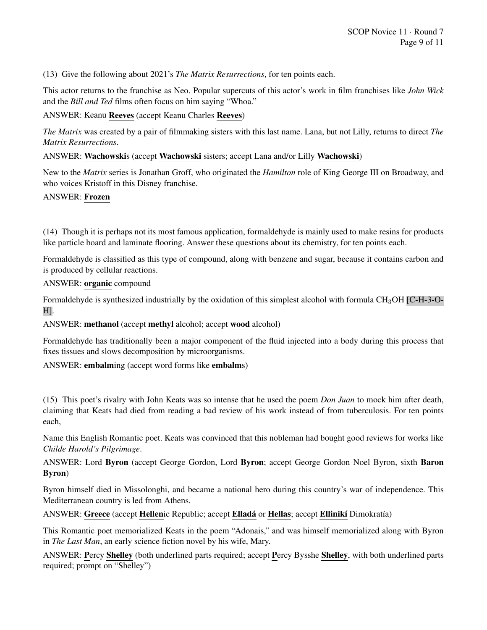(13) Give the following about 2021's *The Matrix Resurrections*, for ten points each.

This actor returns to the franchise as Neo. Popular supercuts of this actor's work in film franchises like *John Wick* and the *Bill and Ted* films often focus on him saying "Whoa."

# ANSWER: Keanu Reeves (accept Keanu Charles Reeves)

*The Matrix* was created by a pair of filmmaking sisters with this last name. Lana, but not Lilly, returns to direct *The Matrix Resurrections*.

ANSWER: Wachowskis (accept Wachowski sisters; accept Lana and/or Lilly Wachowski)

New to the *Matrix* series is Jonathan Groff, who originated the *Hamilton* role of King George III on Broadway, and who voices Kristoff in this Disney franchise.

### ANSWER: Frozen

(14) Though it is perhaps not its most famous application, formaldehyde is mainly used to make resins for products like particle board and laminate flooring. Answer these questions about its chemistry, for ten points each.

Formaldehyde is classified as this type of compound, along with benzene and sugar, because it contains carbon and is produced by cellular reactions.

### ANSWER: organic compound

Formaldehyde is synthesized industrially by the oxidation of this simplest alcohol with formula CH3OH [C-H-3-O-H].

ANSWER: methanol (accept methyl alcohol; accept wood alcohol)

Formaldehyde has traditionally been a major component of the fluid injected into a body during this process that fixes tissues and slows decomposition by microorganisms.

ANSWER: embalming (accept word forms like embalms)

(15) This poet's rivalry with John Keats was so intense that he used the poem *Don Juan* to mock him after death, claiming that Keats had died from reading a bad review of his work instead of from tuberculosis. For ten points each,

Name this English Romantic poet. Keats was convinced that this nobleman had bought good reviews for works like *Childe Harold's Pilgrimage*.

ANSWER: Lord Byron (accept George Gordon, Lord Byron; accept George Gordon Noel Byron, sixth Baron Byron)

Byron himself died in Missolonghi, and became a national hero during this country's war of independence. This Mediterranean country is led from Athens.

ANSWER: Greece (accept Hellenic Republic; accept Elladá or Hellas; accept Ellinikí Dimokratía)

This Romantic poet memorialized Keats in the poem "Adonais," and was himself memorialized along with Byron in *The Last Man*, an early science fiction novel by his wife, Mary.

ANSWER: Percy Shelley (both underlined parts required; accept Percy Bysshe Shelley, with both underlined parts required; prompt on "Shelley")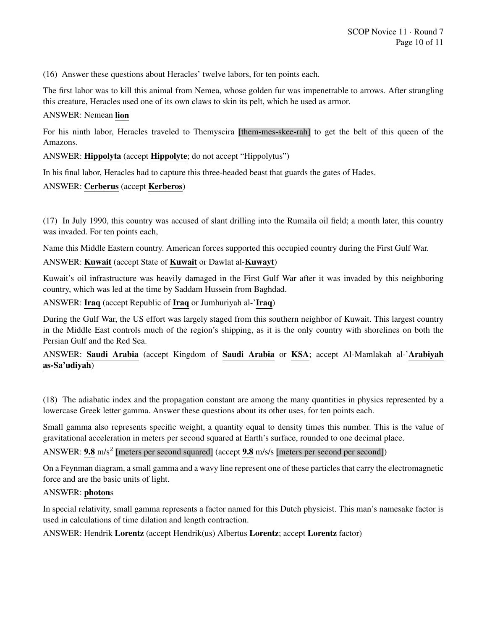(16) Answer these questions about Heracles' twelve labors, for ten points each.

The first labor was to kill this animal from Nemea, whose golden fur was impenetrable to arrows. After strangling this creature, Heracles used one of its own claws to skin its pelt, which he used as armor.

### ANSWER: Nemean lion

For his ninth labor, Heracles traveled to Themyscira [them-mes-skee-rah] to get the belt of this queen of the Amazons.

ANSWER: Hippolyta (accept Hippolyte; do not accept "Hippolytus")

In his final labor, Heracles had to capture this three-headed beast that guards the gates of Hades.

# ANSWER: Cerberus (accept Kerberos)

(17) In July 1990, this country was accused of slant drilling into the Rumaila oil field; a month later, this country was invaded. For ten points each,

Name this Middle Eastern country. American forces supported this occupied country during the First Gulf War.

# ANSWER: Kuwait (accept State of Kuwait or Dawlat al-Kuwayt)

Kuwait's oil infrastructure was heavily damaged in the First Gulf War after it was invaded by this neighboring country, which was led at the time by Saddam Hussein from Baghdad.

ANSWER: Iraq (accept Republic of Iraq or Jumhuriyah al-'Iraq)

During the Gulf War, the US effort was largely staged from this southern neighbor of Kuwait. This largest country in the Middle East controls much of the region's shipping, as it is the only country with shorelines on both the Persian Gulf and the Red Sea.

ANSWER: Saudi Arabia (accept Kingdom of Saudi Arabia or KSA; accept Al-Mamlakah al-'Arabiyah as-Sa'udiyah)

(18) The adiabatic index and the propagation constant are among the many quantities in physics represented by a lowercase Greek letter gamma. Answer these questions about its other uses, for ten points each.

Small gamma also represents specific weight, a quantity equal to density times this number. This is the value of gravitational acceleration in meters per second squared at Earth's surface, rounded to one decimal place.

ANSWER: 9.8 m/s<sup>2</sup> [meters per second squared] (accept 9.8 m/s/s [meters per second per second])

On a Feynman diagram, a small gamma and a wavy line represent one of these particles that carry the electromagnetic force and are the basic units of light.

### ANSWER: photons

In special relativity, small gamma represents a factor named for this Dutch physicist. This man's namesake factor is used in calculations of time dilation and length contraction.

ANSWER: Hendrik Lorentz (accept Hendrik(us) Albertus Lorentz; accept Lorentz factor)